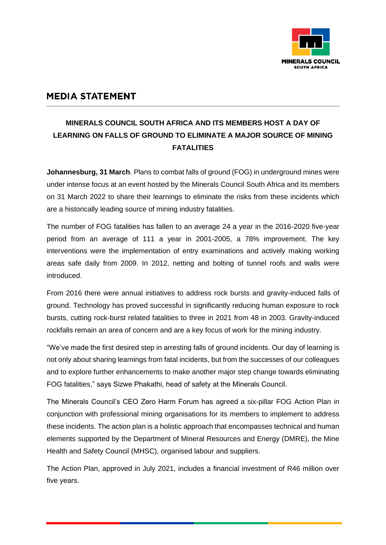

## **MEDIA STATEMENT**

## **MINERALS COUNCIL SOUTH AFRICA AND ITS MEMBERS HOST A DAY OF LEARNING ON FALLS OF GROUND TO ELIMINATE A MAJOR SOURCE OF MINING FATALITIES**

**Johannesburg, 31 March**. Plans to combat falls of ground (FOG) in underground mines were under intense focus at an event hosted by the Minerals Council South Africa and its members on 31 March 2022 to share their learnings to eliminate the risks from these incidents which are a historically leading source of mining industry fatalities.

The number of FOG fatalities has fallen to an average 24 a year in the 2016-2020 five-year period from an average of 111 a year in 2001-2005, a 78% improvement. The key interventions were the implementation of entry examinations and actively making working areas safe daily from 2009. In 2012, netting and bolting of tunnel roofs and walls were introduced.

From 2016 there were annual initiatives to address rock bursts and gravity-induced falls of ground. Technology has proved successful in significantly reducing human exposure to rock bursts, cutting rock-burst related fatalities to three in 2021 from 48 in 2003. Gravity-induced rockfalls remain an area of concern and are a key focus of work for the mining industry.

"We've made the first desired step in arresting falls of ground incidents. Our day of learning is not only about sharing learnings from fatal incidents, but from the successes of our colleagues and to explore further enhancements to make another major step change towards eliminating FOG fatalities," says Sizwe Phakathi, head of safety at the Minerals Council.

The Minerals Council's CEO Zero Harm Forum has agreed a six-pillar FOG Action Plan in conjunction with professional mining organisations for its members to implement to address these incidents. The action plan is a holistic approach that encompasses technical and human elements supported by the Department of Mineral Resources and Energy (DMRE), the Mine Health and Safety Council (MHSC), organised labour and suppliers.

The Action Plan, approved in July 2021, includes a financial investment of R46 million over five years.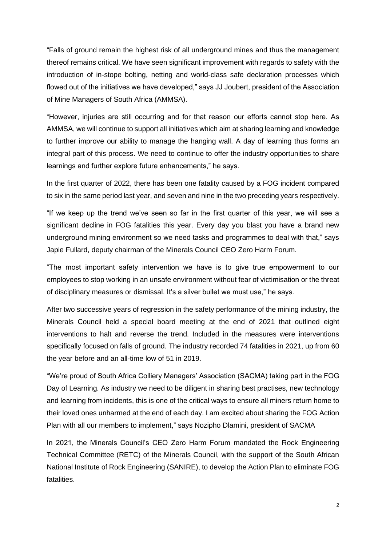"Falls of ground remain the highest risk of all underground mines and thus the management thereof remains critical. We have seen significant improvement with regards to safety with the introduction of in-stope bolting, netting and world-class safe declaration processes which flowed out of the initiatives we have developed," says JJ Joubert, president of the Association of Mine Managers of South Africa (AMMSA).

"However, injuries are still occurring and for that reason our efforts cannot stop here. As AMMSA, we will continue to support all initiatives which aim at sharing learning and knowledge to further improve our ability to manage the hanging wall. A day of learning thus forms an integral part of this process. We need to continue to offer the industry opportunities to share learnings and further explore future enhancements," he says.

In the first quarter of 2022, there has been one fatality caused by a FOG incident compared to six in the same period last year, and seven and nine in the two preceding years respectively.

"If we keep up the trend we've seen so far in the first quarter of this year, we will see a significant decline in FOG fatalities this year. Every day you blast you have a brand new underground mining environment so we need tasks and programmes to deal with that," says Japie Fullard, deputy chairman of the Minerals Council CEO Zero Harm Forum.

"The most important safety intervention we have is to give true empowerment to our employees to stop working in an unsafe environment without fear of victimisation or the threat of disciplinary measures or dismissal. It's a silver bullet we must use," he says.

After two successive years of regression in the safety performance of the mining industry, the Minerals Council held a special board meeting at the end of 2021 that outlined eight interventions to halt and reverse the trend. Included in the measures were interventions specifically focused on falls of ground. The industry recorded 74 fatalities in 2021, up from 60 the year before and an all-time low of 51 in 2019.

"We're proud of South Africa Colliery Managers' Association (SACMA) taking part in the FOG Day of Learning. As industry we need to be diligent in sharing best practises, new technology and learning from incidents, this is one of the critical ways to ensure all miners return home to their loved ones unharmed at the end of each day. I am excited about sharing the FOG Action Plan with all our members to implement," says Nozipho Dlamini, president of SACMA

In 2021, the Minerals Council's CEO Zero Harm Forum mandated the Rock Engineering Technical Committee (RETC) of the Minerals Council, with the support of the South African National Institute of Rock Engineering (SANIRE), to develop the Action Plan to eliminate FOG fatalities.